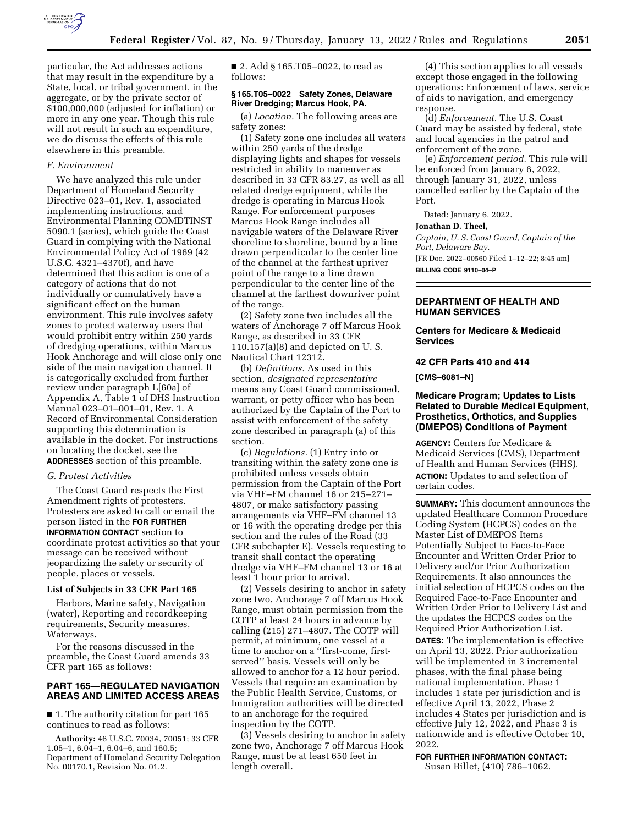

particular, the Act addresses actions that may result in the expenditure by a State, local, or tribal government, in the aggregate, or by the private sector of \$100,000,000 (adjusted for inflation) or more in any one year. Though this rule will not result in such an expenditure, we do discuss the effects of this rule elsewhere in this preamble.

#### *F. Environment*

We have analyzed this rule under Department of Homeland Security Directive 023–01, Rev. 1, associated implementing instructions, and Environmental Planning COMDTINST 5090.1 (series), which guide the Coast Guard in complying with the National Environmental Policy Act of 1969 (42 U.S.C. 4321–4370f), and have determined that this action is one of a category of actions that do not individually or cumulatively have a significant effect on the human environment. This rule involves safety zones to protect waterway users that would prohibit entry within 250 yards of dredging operations, within Marcus Hook Anchorage and will close only one side of the main navigation channel. It is categorically excluded from further review under paragraph L[60a] of Appendix A, Table 1 of DHS Instruction Manual 023–01–001–01, Rev. 1. A Record of Environmental Consideration supporting this determination is available in the docket. For instructions on locating the docket, see the **ADDRESSES** section of this preamble.

#### *G. Protest Activities*

The Coast Guard respects the First Amendment rights of protesters. Protesters are asked to call or email the person listed in the **FOR FURTHER INFORMATION CONTACT** section to coordinate protest activities so that your message can be received without jeopardizing the safety or security of people, places or vessels.

## **List of Subjects in 33 CFR Part 165**

Harbors, Marine safety, Navigation (water), Reporting and recordkeeping requirements, Security measures, Waterways.

For the reasons discussed in the preamble, the Coast Guard amends 33 CFR part 165 as follows:

## **PART 165—REGULATED NAVIGATION AREAS AND LIMITED ACCESS AREAS**

■ 1. The authority citation for part 165 continues to read as follows:

**Authority:** 46 U.S.C. 70034, 70051; 33 CFR 1.05–1, 6.04–1, 6.04–6, and 160.5; Department of Homeland Security Delegation No. 00170.1, Revision No. 01.2.

■ 2. Add § 165.T05-0022, to read as follows:

#### **§ 165.T05–0022 Safety Zones, Delaware River Dredging; Marcus Hook, PA.**

(a) *Location.* The following areas are safety zones:

(1) Safety zone one includes all waters within 250 yards of the dredge displaying lights and shapes for vessels restricted in ability to maneuver as described in 33 CFR 83.27, as well as all related dredge equipment, while the dredge is operating in Marcus Hook Range. For enforcement purposes Marcus Hook Range includes all navigable waters of the Delaware River shoreline to shoreline, bound by a line drawn perpendicular to the center line of the channel at the farthest upriver point of the range to a line drawn perpendicular to the center line of the channel at the farthest downriver point of the range.

(2) Safety zone two includes all the waters of Anchorage 7 off Marcus Hook Range, as described in 33 CFR 110.157(a)(8) and depicted on U. S. Nautical Chart 12312.

(b) *Definitions.* As used in this section, *designated representative*  means any Coast Guard commissioned, warrant, or petty officer who has been authorized by the Captain of the Port to assist with enforcement of the safety zone described in paragraph (a) of this section.

(c) *Regulations.* (1) Entry into or transiting within the safety zone one is prohibited unless vessels obtain permission from the Captain of the Port via VHF–FM channel 16 or 215–271– 4807, or make satisfactory passing arrangements via VHF–FM channel 13 or 16 with the operating dredge per this section and the rules of the Road (33 CFR subchapter E). Vessels requesting to transit shall contact the operating dredge via VHF–FM channel 13 or 16 at least 1 hour prior to arrival.

(2) Vessels desiring to anchor in safety zone two, Anchorage 7 off Marcus Hook Range, must obtain permission from the COTP at least 24 hours in advance by calling (215) 271–4807. The COTP will permit, at minimum, one vessel at a time to anchor on a ''first-come, firstserved'' basis. Vessels will only be allowed to anchor for a 12 hour period. Vessels that require an examination by the Public Health Service, Customs, or Immigration authorities will be directed to an anchorage for the required inspection by the COTP.

(3) Vessels desiring to anchor in safety zone two, Anchorage 7 off Marcus Hook Range, must be at least 650 feet in length overall.

(4) This section applies to all vessels except those engaged in the following operations: Enforcement of laws, service of aids to navigation, and emergency response.

(d) *Enforcement.* The U.S. Coast Guard may be assisted by federal, state and local agencies in the patrol and enforcement of the zone.

(e) *Enforcement period.* This rule will be enforced from January 6, 2022, through January 31, 2022, unless cancelled earlier by the Captain of the Port.

Dated: January 6, 2022.

#### **Jonathan D. Theel,**

*Captain, U. S. Coast Guard, Captain of the Port, Delaware Bay.*  [FR Doc. 2022–00560 Filed 1–12–22; 8:45 am] **BILLING CODE 9110–04–P** 

### **DEPARTMENT OF HEALTH AND HUMAN SERVICES**

# **Centers for Medicare & Medicaid Services**

#### **42 CFR Parts 410 and 414**

**[CMS–6081–N]** 

# **Medicare Program; Updates to Lists Related to Durable Medical Equipment, Prosthetics, Orthotics, and Supplies (DMEPOS) Conditions of Payment**

**AGENCY:** Centers for Medicare & Medicaid Services (CMS), Department of Health and Human Services (HHS). **ACTION:** Updates to and selection of certain codes.

**SUMMARY:** This document announces the updated Healthcare Common Procedure Coding System (HCPCS) codes on the Master List of DMEPOS Items Potentially Subject to Face-to-Face Encounter and Written Order Prior to Delivery and/or Prior Authorization Requirements. It also announces the initial selection of HCPCS codes on the Required Face-to-Face Encounter and Written Order Prior to Delivery List and the updates the HCPCS codes on the Required Prior Authorization List. **DATES:** The implementation is effective on April 13, 2022. Prior authorization will be implemented in 3 incremental phases, with the final phase being national implementation. Phase 1 includes 1 state per jurisdiction and is effective April 13, 2022, Phase 2 includes 4 States per jurisdiction and is effective July 12, 2022, and Phase 3 is nationwide and is effective October 10, 2022.

**FOR FURTHER INFORMATION CONTACT:** Susan Billet, (410) 786–1062.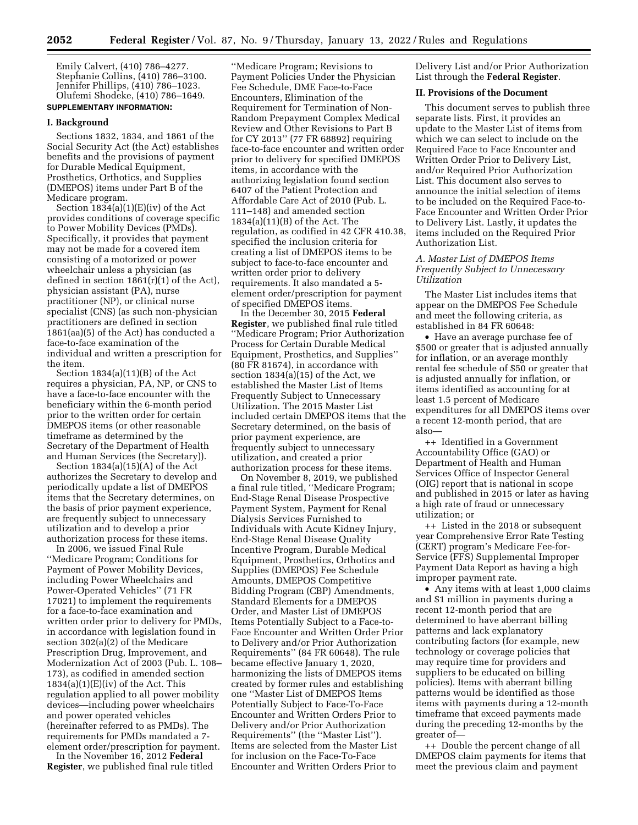Emily Calvert, (410) 786–4277. Stephanie Collins, (410) 786–3100. Jennifer Phillips, (410) 786–1023. Olufemi Shodeke, (410) 786–1649. **SUPPLEMENTARY INFORMATION:** 

# **I. Background**

Sections 1832, 1834, and 1861 of the Social Security Act (the Act) establishes benefits and the provisions of payment for Durable Medical Equipment, Prosthetics, Orthotics, and Supplies (DMEPOS) items under Part B of the Medicare program.

Section 1834(a)(1)(E)(iv) of the Act provides conditions of coverage specific to Power Mobility Devices (PMDs). Specifically, it provides that payment may not be made for a covered item consisting of a motorized or power wheelchair unless a physician (as defined in section  $1861(r)(1)$  of the Act), physician assistant (PA), nurse practitioner (NP), or clinical nurse specialist (CNS) (as such non-physician practitioners are defined in section 1861(aa)(5) of the Act) has conducted a face-to-face examination of the individual and written a prescription for the item.

Section 1834(a)(11)(B) of the Act requires a physician, PA, NP, or CNS to have a face-to-face encounter with the beneficiary within the 6-month period prior to the written order for certain DMEPOS items (or other reasonable timeframe as determined by the Secretary of the Department of Health and Human Services (the Secretary)).

Section 1834(a)(15)(A) of the Act authorizes the Secretary to develop and periodically update a list of DMEPOS items that the Secretary determines, on the basis of prior payment experience, are frequently subject to unnecessary utilization and to develop a prior authorization process for these items.

In 2006, we issued Final Rule ''Medicare Program; Conditions for Payment of Power Mobility Devices, including Power Wheelchairs and Power-Operated Vehicles'' (71 FR 17021) to implement the requirements for a face-to-face examination and written order prior to delivery for PMDs, in accordance with legislation found in section 302(a)(2) of the Medicare Prescription Drug, Improvement, and Modernization Act of 2003 (Pub. L. 108– 173), as codified in amended section  $1834(a)(1)(E)(iv)$  of the Act. This regulation applied to all power mobility devices—including power wheelchairs and power operated vehicles (hereinafter referred to as PMDs). The requirements for PMDs mandated a 7 element order/prescription for payment.

In the November 16, 2012 **Federal Register**, we published final rule titled

''Medicare Program; Revisions to Payment Policies Under the Physician Fee Schedule, DME Face-to-Face Encounters, Elimination of the Requirement for Termination of Non-Random Prepayment Complex Medical Review and Other Revisions to Part B for CY 2013'' (77 FR 68892) requiring face-to-face encounter and written order prior to delivery for specified DMEPOS items, in accordance with the authorizing legislation found section 6407 of the Patient Protection and Affordable Care Act of 2010 (Pub. L. 111–148) and amended section 1834(a)(11)(B) of the Act. The regulation, as codified in 42 CFR 410.38, specified the inclusion criteria for creating a list of DMEPOS items to be subject to face-to-face encounter and written order prior to delivery requirements. It also mandated a 5 element order/prescription for payment of specified DMEPOS items.

In the December 30, 2015 **Federal Register**, we published final rule titled ''Medicare Program; Prior Authorization Process for Certain Durable Medical Equipment, Prosthetics, and Supplies'' (80 FR 81674), in accordance with section 1834(a)(15) of the Act, we established the Master List of Items Frequently Subject to Unnecessary Utilization. The 2015 Master List included certain DMEPOS items that the Secretary determined, on the basis of prior payment experience, are frequently subject to unnecessary utilization, and created a prior authorization process for these items.

On November 8, 2019, we published a final rule titled, ''Medicare Program; End-Stage Renal Disease Prospective Payment System, Payment for Renal Dialysis Services Furnished to Individuals with Acute Kidney Injury, End-Stage Renal Disease Quality Incentive Program, Durable Medical Equipment, Prosthetics, Orthotics and Supplies (DMEPOS) Fee Schedule Amounts, DMEPOS Competitive Bidding Program (CBP) Amendments, Standard Elements for a DMEPOS Order, and Master List of DMEPOS Items Potentially Subject to a Face-to-Face Encounter and Written Order Prior to Delivery and/or Prior Authorization Requirements'' (84 FR 60648). The rule became effective January 1, 2020, harmonizing the lists of DMEPOS items created by former rules and establishing one ''Master List of DMEPOS Items Potentially Subject to Face-To-Face Encounter and Written Orders Prior to Delivery and/or Prior Authorization Requirements'' (the ''Master List''). Items are selected from the Master List for inclusion on the Face-To-Face Encounter and Written Orders Prior to

Delivery List and/or Prior Authorization List through the **Federal Register**.

#### **II. Provisions of the Document**

This document serves to publish three separate lists. First, it provides an update to the Master List of items from which we can select to include on the Required Face to Face Encounter and Written Order Prior to Delivery List, and/or Required Prior Authorization List. This document also serves to announce the initial selection of items to be included on the Required Face-to-Face Encounter and Written Order Prior to Delivery List. Lastly, it updates the items included on the Required Prior Authorization List.

### *A. Master List of DMEPOS Items Frequently Subject to Unnecessary Utilization*

The Master List includes items that appear on the DMEPOS Fee Schedule and meet the following criteria, as established in 84 FR 60648:

• Have an average purchase fee of \$500 or greater that is adjusted annually for inflation, or an average monthly rental fee schedule of \$50 or greater that is adjusted annually for inflation, or items identified as accounting for at least 1.5 percent of Medicare expenditures for all DMEPOS items over a recent 12-month period, that are also—

++ Identified in a Government Accountability Office (GAO) or Department of Health and Human Services Office of Inspector General (OIG) report that is national in scope and published in 2015 or later as having a high rate of fraud or unnecessary utilization; or

++ Listed in the 2018 or subsequent year Comprehensive Error Rate Testing (CERT) program's Medicare Fee-for-Service (FFS) Supplemental Improper Payment Data Report as having a high improper payment rate.

• Any items with at least 1,000 claims and \$1 million in payments during a recent 12-month period that are determined to have aberrant billing patterns and lack explanatory contributing factors (for example, new technology or coverage policies that may require time for providers and suppliers to be educated on billing policies). Items with aberrant billing patterns would be identified as those items with payments during a 12-month timeframe that exceed payments made during the preceding 12-months by the greater of—

++ Double the percent change of all DMEPOS claim payments for items that meet the previous claim and payment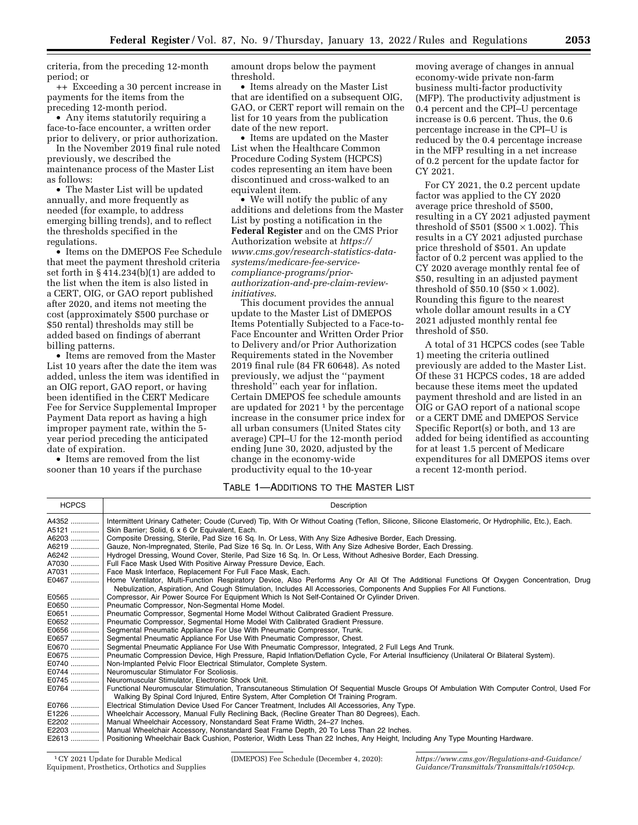criteria, from the preceding 12-month period; or

++ Exceeding a 30 percent increase in payments for the items from the preceding 12-month period.

• Any items statutorily requiring a face-to-face encounter, a written order prior to delivery, or prior authorization.

In the November 2019 final rule noted previously, we described the maintenance process of the Master List as follows:

• The Master List will be updated annually, and more frequently as needed (for example, to address emerging billing trends), and to reflect the thresholds specified in the regulations.

• Items on the DMEPOS Fee Schedule that meet the payment threshold criteria set forth in § 414.234(b)(1) are added to the list when the item is also listed in a CERT, OIG, or GAO report published after 2020, and items not meeting the cost (approximately \$500 purchase or \$50 rental) thresholds may still be added based on findings of aberrant billing patterns.

• Items are removed from the Master List 10 years after the date the item was added, unless the item was identified in an OIG report, GAO report, or having been identified in the CERT Medicare Fee for Service Supplemental Improper Payment Data report as having a high improper payment rate, within the 5 year period preceding the anticipated date of expiration.

• Items are removed from the list sooner than 10 years if the purchase amount drops below the payment threshold.

• Items already on the Master List that are identified on a subsequent OIG, GAO, or CERT report will remain on the list for 10 years from the publication date of the new report.

• Items are updated on the Master List when the Healthcare Common Procedure Coding System (HCPCS) codes representing an item have been discontinued and cross-walked to an equivalent item.

• We will notify the public of any additions and deletions from the Master List by posting a notification in the **Federal Register** and on the CMS Prior Authorization website at *[https://](https://www.cms.gov/research-statistics-data-systems/medicare-fee-service-compliance-programs/prior-authorization-and-pre-claim-review-initiatives) [www.cms.gov/research-statistics-data](https://www.cms.gov/research-statistics-data-systems/medicare-fee-service-compliance-programs/prior-authorization-and-pre-claim-review-initiatives)systems/medicare-fee-servicecompliance-programs/priorauthorization-and-pre-claim-review[initiatives](https://www.cms.gov/research-statistics-data-systems/medicare-fee-service-compliance-programs/prior-authorization-and-pre-claim-review-initiatives)*.

This document provides the annual update to the Master List of DMEPOS Items Potentially Subjected to a Face-to-Face Encounter and Written Order Prior to Delivery and/or Prior Authorization Requirements stated in the November 2019 final rule (84 FR 60648). As noted previously, we adjust the ''payment threshold'' each year for inflation. Certain DMEPOS fee schedule amounts are updated for  $2021<sup>1</sup>$  by the percentage increase in the consumer price index for all urban consumers (United States city average) CPI–U for the 12-month period ending June 30, 2020, adjusted by the change in the economy-wide productivity equal to the 10-year

moving average of changes in annual economy-wide private non-farm business multi-factor productivity (MFP). The productivity adjustment is 0.4 percent and the CPI–U percentage increase is 0.6 percent. Thus, the 0.6 percentage increase in the CPI–U is reduced by the 0.4 percentage increase in the MFP resulting in a net increase of 0.2 percent for the update factor for CY 2021.

For CY 2021, the 0.2 percent update factor was applied to the CY 2020 average price threshold of \$500, resulting in a CY 2021 adjusted payment threshold of  $$501$  ( $$500 \times 1.002$ ). This results in a CY 2021 adjusted purchase price threshold of \$501. An update factor of 0.2 percent was applied to the CY 2020 average monthly rental fee of \$50, resulting in an adjusted payment threshold of \$50.10 (\$50  $\times$  1.002). Rounding this figure to the nearest whole dollar amount results in a CY 2021 adjusted monthly rental fee threshold of \$50.

A total of 31 HCPCS codes (see Table 1) meeting the criteria outlined previously are added to the Master List. Of these 31 HCPCS codes, 18 are added because these items meet the updated payment threshold and are listed in an OIG or GAO report of a national scope or a CERT DME and DMEPOS Service Specific Report(s) or both, and 13 are added for being identified as accounting for at least 1.5 percent of Medicare expenditures for all DMEPOS items over a recent 12-month period.

# TABLE 1—ADDITIONS TO THE MASTER LIST

| <b>HCPCS</b> | Description                                                                                                                                         |
|--------------|-----------------------------------------------------------------------------------------------------------------------------------------------------|
| A4352        | Intermittent Urinary Catheter; Coude (Curved) Tip, With Or Without Coating (Teflon, Silicone, Silicone Elastomeric, Or Hydrophilic, Etc.), Each.    |
| A5121        | Skin Barrier; Solid, 6 x 6 Or Equivalent, Each.                                                                                                     |
|              | A6203  Composite Dressing, Sterile, Pad Size 16 Sq. In. Or Less, With Any Size Adhesive Border, Each Dressing.                                      |
|              | A6219  Gauze, Non-Impregnated, Sterile, Pad Size 16 Sq. In. Or Less, With Any Size Adhesive Border, Each Dressing.                                  |
|              | A6242    Hydrogel Dressing, Wound Cover, Sterile, Pad Size 16 Sq. In. Or Less, Without Adhesive Border, Each Dressing.                              |
|              | A7030  Full Face Mask Used With Positive Airway Pressure Device, Each.                                                                              |
|              | A7031  Face Mask Interface, Replacement For Full Face Mask, Each.                                                                                   |
|              | E0467    Home Ventilator, Multi-Function Respiratory Device, Also Performs Any Or All Of The Additional Functions Of Oxygen Concentration, Drug     |
|              | Nebulization, Aspiration, And Cough Stimulation, Includes All Accessories, Components And Supplies For All Functions.                               |
| $E0565$      | Compressor, Air Power Source For Equipment Which Is Not Self-Contained Or Cylinder Driven.                                                          |
|              | E0650  Pneumatic Compressor, Non-Segmental Home Model.                                                                                              |
|              | E0651  Pneumatic Compressor, Segmental Home Model Without Calibrated Gradient Pressure.                                                             |
|              | E0652    Pneumatic Compressor, Segmental Home Model With Calibrated Gradient Pressure.                                                              |
|              | E0656  Segmental Pneumatic Appliance For Use With Pneumatic Compressor, Trunk.                                                                      |
|              | E0657  Segmental Pneumatic Appliance For Use With Pneumatic Compressor, Chest.                                                                      |
|              | E0670  Segmental Pneumatic Appliance For Use With Pneumatic Compressor, Integrated, 2 Full Legs And Trunk.                                          |
|              | E0675    Pneumatic Compression Device, High Pressure, Rapid Inflation/Deflation Cycle, For Arterial Insufficiency (Unilateral Or Bilateral System). |
|              | E0740    Non-Implanted Pelvic Floor Electrical Stimulator, Complete System.                                                                         |
|              | E0744    Neuromuscular Stimulator For Scoliosis.                                                                                                    |
|              | E0745    Neuromuscular Stimulator, Electronic Shock Unit.                                                                                           |
| E0764        | Functional Neuromuscular Stimulation, Transcutaneous Stimulation Of Sequential Muscle Groups Of Ambulation With Computer Control, Used For          |
|              | Walking By Spinal Cord Injured, Entire System, After Completion Of Training Program.                                                                |
|              | E0766  Electrical Stimulation Device Used For Cancer Treatment, Includes All Accessories, Any Type.                                                 |
|              | E1226    Wheelchair Accessory, Manual Fully Reclining Back, (Recline Greater Than 80 Degrees), Each.                                                |
|              | E2202    Manual Wheelchair Accessory, Nonstandard Seat Frame Width, 24–27 Inches.                                                                   |
|              | E2203    Manual Wheelchair Accessory, Nonstandard Seat Frame Depth, 20 To Less Than 22 Inches.                                                      |
|              | E2613  Positioning Wheelchair Back Cushion, Posterior, Width Less Than 22 Inches, Any Height, Including Any Type Mounting Hardware.                 |

1CY 2021 Update for Durable Medical Equipment, Prosthetics, Orthotics and Supplies

(DMEPOS) Fee Schedule (December 4, 2020): *[https://www.cms.gov/Regulations-and-Guidance/](https://www.cms.gov/Regulations-and-Guidance/Guidance/Transmittals/Transmittals/r10504cp)  [Guidance/Transmittals/Transmittals/r10504cp](https://www.cms.gov/Regulations-and-Guidance/Guidance/Transmittals/Transmittals/r10504cp)*.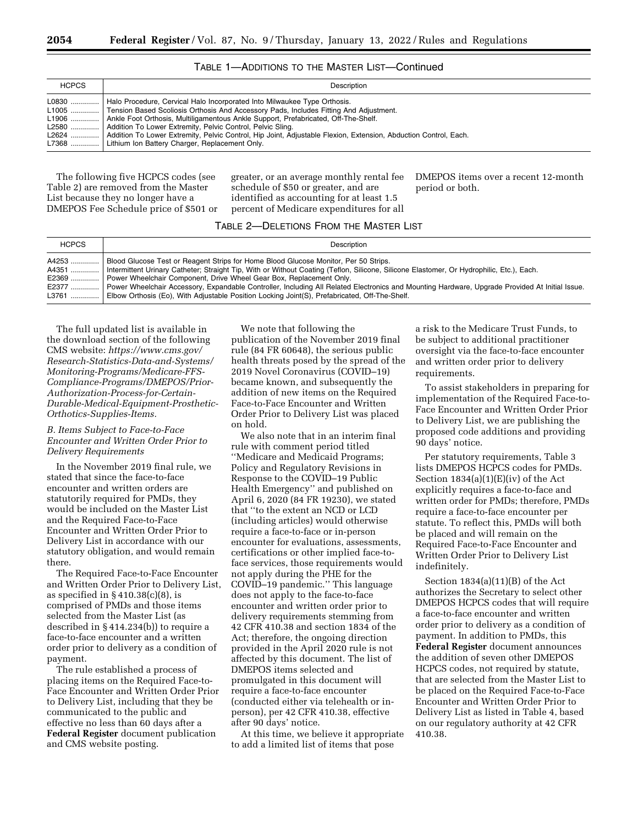### TABLE 1—ADDITIONS TO THE MASTER LIST—Continued

| <b>HCPCS</b> | Description                                                                                                                                                                                                                                                                                                                                                                                                                                                                                                                                  |
|--------------|----------------------------------------------------------------------------------------------------------------------------------------------------------------------------------------------------------------------------------------------------------------------------------------------------------------------------------------------------------------------------------------------------------------------------------------------------------------------------------------------------------------------------------------------|
|              | L0830  Halo Procedure, Cervical Halo Incorporated Into Milwaukee Type Orthosis.<br>L1005  Tension Based Scoliosis Orthosis And Accessory Pads, Includes Fitting And Adjustment.<br>L1906    Ankle Foot Orthosis, Multiligamentous Ankle Support, Prefabricated, Off-The-Shelf.<br>L2580    Addition To Lower Extremity, Pelvic Control, Pelvic Sling.<br>L2624    Addition To Lower Extremity, Pelvic Control, Hip Joint, Adjustable Flexion, Extension, Abduction Control, Each.<br>L7368    Lithium Ion Battery Charger, Replacement Only. |

The following five HCPCS codes (see Table 2) are removed from the Master List because they no longer have a DMEPOS Fee Schedule price of \$501 or greater, or an average monthly rental fee schedule of \$50 or greater, and are identified as accounting for at least 1.5 percent of Medicare expenditures for all

DMEPOS items over a recent 12-month period or both.

# TABLE 2—DELETIONS FROM THE MASTER LIST

| <b>HCPCS</b> | Description                                                                                                                                                                                                                                                                                                                                                                                                                                                                                                                                                                                  |
|--------------|----------------------------------------------------------------------------------------------------------------------------------------------------------------------------------------------------------------------------------------------------------------------------------------------------------------------------------------------------------------------------------------------------------------------------------------------------------------------------------------------------------------------------------------------------------------------------------------------|
|              | A4253  Blood Glucose Test or Reagent Strips for Home Blood Glucose Monitor, Per 50 Strips.<br>A4351  Intermittent Urinary Catheter: Straight Tip, With or Without Coating (Teflon, Silicone, Silicone Elastomer, Or Hydrophilic, Etc.), Each.<br>E2369  Power Wheelchair Component, Drive Wheel Gear Box, Replacement Only.<br>E2377  Power Wheelchair Accessory, Expandable Controller, Including All Related Electronics and Mounting Hardware, Upgrade Provided At Initial Issue.<br>L3761  Elbow Orthosis (Eo), With Adjustable Position Locking Joint(S), Prefabricated, Off-The-Shelf. |

The full updated list is available in the download section of the following CMS website: *[https://www.cms.gov/](https://www.cms.gov/Research-Statistics-Data-and-Systems/Monitoring-Programs/Medicare-FFS-Compliance-Programs/DMEPOS/Prior-Authorization-Process-for-Certain-Durable-Medical-Equipment-Prosthetic-Orthotics-Supplies-Items) [Research-Statistics-Data-and-Systems/](https://www.cms.gov/Research-Statistics-Data-and-Systems/Monitoring-Programs/Medicare-FFS-Compliance-Programs/DMEPOS/Prior-Authorization-Process-for-Certain-Durable-Medical-Equipment-Prosthetic-Orthotics-Supplies-Items)  [Monitoring-Programs/Medicare-FFS-](https://www.cms.gov/Research-Statistics-Data-and-Systems/Monitoring-Programs/Medicare-FFS-Compliance-Programs/DMEPOS/Prior-Authorization-Process-for-Certain-Durable-Medical-Equipment-Prosthetic-Orthotics-Supplies-Items)[Compliance-Programs/DMEPOS/Prior-](https://www.cms.gov/Research-Statistics-Data-and-Systems/Monitoring-Programs/Medicare-FFS-Compliance-Programs/DMEPOS/Prior-Authorization-Process-for-Certain-Durable-Medical-Equipment-Prosthetic-Orthotics-Supplies-Items)[Authorization-Process-for-Certain-](https://www.cms.gov/Research-Statistics-Data-and-Systems/Monitoring-Programs/Medicare-FFS-Compliance-Programs/DMEPOS/Prior-Authorization-Process-for-Certain-Durable-Medical-Equipment-Prosthetic-Orthotics-Supplies-Items)[Durable-Medical-Equipment-Prosthetic-](https://www.cms.gov/Research-Statistics-Data-and-Systems/Monitoring-Programs/Medicare-FFS-Compliance-Programs/DMEPOS/Prior-Authorization-Process-for-Certain-Durable-Medical-Equipment-Prosthetic-Orthotics-Supplies-Items)[Orthotics-Supplies-Items.](https://www.cms.gov/Research-Statistics-Data-and-Systems/Monitoring-Programs/Medicare-FFS-Compliance-Programs/DMEPOS/Prior-Authorization-Process-for-Certain-Durable-Medical-Equipment-Prosthetic-Orthotics-Supplies-Items)* 

## *B. Items Subject to Face-to-Face Encounter and Written Order Prior to Delivery Requirements*

In the November 2019 final rule, we stated that since the face-to-face encounter and written orders are statutorily required for PMDs, they would be included on the Master List and the Required Face-to-Face Encounter and Written Order Prior to Delivery List in accordance with our statutory obligation, and would remain there.

The Required Face-to-Face Encounter and Written Order Prior to Delivery List, as specified in § 410.38(c)(8), is comprised of PMDs and those items selected from the Master List (as described in § 414.234(b)) to require a face-to-face encounter and a written order prior to delivery as a condition of payment.

The rule established a process of placing items on the Required Face-to-Face Encounter and Written Order Prior to Delivery List, including that they be communicated to the public and effective no less than 60 days after a **Federal Register** document publication and CMS website posting.

We note that following the publication of the November 2019 final rule (84 FR 60648), the serious public health threats posed by the spread of the 2019 Novel Coronavirus (COVID–19) became known, and subsequently the addition of new items on the Required Face-to-Face Encounter and Written Order Prior to Delivery List was placed on hold.

We also note that in an interim final rule with comment period titled ''Medicare and Medicaid Programs; Policy and Regulatory Revisions in Response to the COVID–19 Public Health Emergency'' and published on April 6, 2020 (84 FR 19230), we stated that ''to the extent an NCD or LCD (including articles) would otherwise require a face-to-face or in-person encounter for evaluations, assessments, certifications or other implied face-toface services, those requirements would not apply during the PHE for the COVID–19 pandemic.'' This language does not apply to the face-to-face encounter and written order prior to delivery requirements stemming from 42 CFR 410.38 and section 1834 of the Act; therefore, the ongoing direction provided in the April 2020 rule is not affected by this document. The list of DMEPOS items selected and promulgated in this document will require a face-to-face encounter (conducted either via telehealth or inperson), per 42 CFR 410.38, effective after 90 days' notice.

At this time, we believe it appropriate to add a limited list of items that pose

a risk to the Medicare Trust Funds, to be subject to additional practitioner oversight via the face-to-face encounter and written order prior to delivery requirements.

To assist stakeholders in preparing for implementation of the Required Face-to-Face Encounter and Written Order Prior to Delivery List, we are publishing the proposed code additions and providing 90 days' notice.

Per statutory requirements, Table 3 lists DMEPOS HCPCS codes for PMDs. Section  $1834(a)(1)(E)(iv)$  of the Act explicitly requires a face-to-face and written order for PMDs; therefore, PMDs require a face-to-face encounter per statute. To reflect this, PMDs will both be placed and will remain on the Required Face-to-Face Encounter and Written Order Prior to Delivery List indefinitely.

Section 1834(a)(11)(B) of the Act authorizes the Secretary to select other DMEPOS HCPCS codes that will require a face-to-face encounter and written order prior to delivery as a condition of payment. In addition to PMDs, this **Federal Register** document announces the addition of seven other DMEPOS HCPCS codes, not required by statute, that are selected from the Master List to be placed on the Required Face-to-Face Encounter and Written Order Prior to Delivery List as listed in Table 4, based on our regulatory authority at 42 CFR 410.38.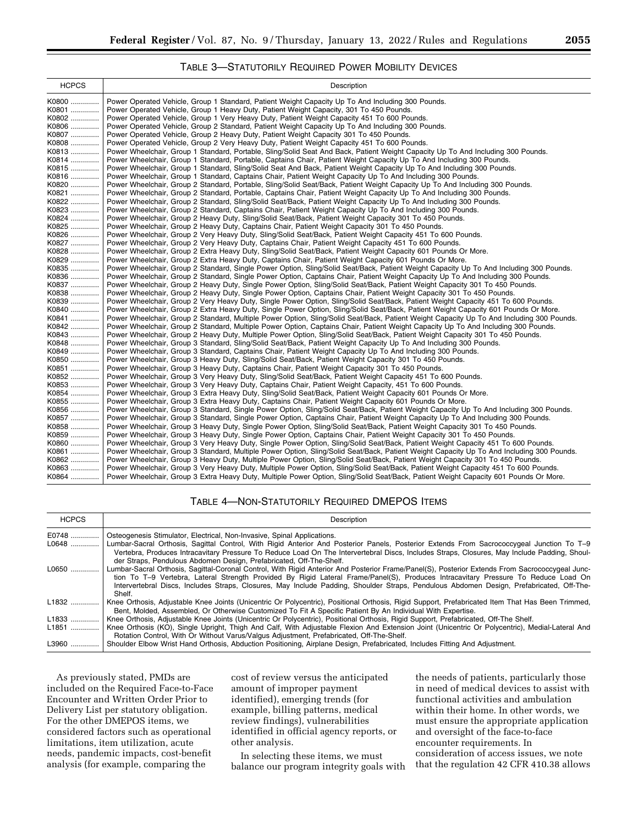# TABLE 3—STATUTORILY REQUIRED POWER MOBILITY DEVICES

| <b>HCPCS</b><br>Description                                                                                                                                                                                                                                                             |  |
|-----------------------------------------------------------------------------------------------------------------------------------------------------------------------------------------------------------------------------------------------------------------------------------------|--|
| Power Operated Vehicle, Group 1 Standard, Patient Weight Capacity Up To And Including 300 Pounds.<br>K0800                                                                                                                                                                              |  |
| Power Operated Vehicle, Group 1 Heavy Duty, Patient Weight Capacity, 301 To 450 Pounds.<br>K0801                                                                                                                                                                                        |  |
| Power Operated Vehicle, Group 1 Very Heavy Duty, Patient Weight Capacity 451 To 600 Pounds.<br>K0802                                                                                                                                                                                    |  |
| K0806<br>Power Operated Vehicle, Group 2 Standard, Patient Weight Capacity Up To And Including 300 Pounds.                                                                                                                                                                              |  |
| Power Operated Vehicle, Group 2 Heavy Duty, Patient Weight Capacity 301 To 450 Pounds.<br>K0807                                                                                                                                                                                         |  |
| K0808<br>Power Operated Vehicle, Group 2 Very Heavy Duty, Patient Weight Capacity 451 To 600 Pounds.                                                                                                                                                                                    |  |
| K0813<br>Power Wheelchair, Group 1 Standard, Portable, Sling/Solid Seat And Back, Patient Weight Capacity Up To And Including 300 Pounds.                                                                                                                                               |  |
| Power Wheelchair, Group 1 Standard, Portable, Captains Chair, Patient Weight Capacity Up To And Including 300 Pounds.<br>K0814                                                                                                                                                          |  |
| K0815  Power Wheelchair, Group 1 Standard, Sling/Solid Seat And Back, Patient Weight Capacity Up To And Including 300 Pounds.                                                                                                                                                           |  |
| Power Wheelchair, Group 1 Standard, Captains Chair, Patient Weight Capacity Up To And Including 300 Pounds.<br>K0816                                                                                                                                                                    |  |
| K0820<br>Power Wheelchair, Group 2 Standard, Portable, Sling/Solid Seat/Back, Patient Weight Capacity Up To And Including 300 Pounds.                                                                                                                                                   |  |
| Power Wheelchair, Group 2 Standard, Portable, Captains Chair, Patient Weight Capacity Up To And Including 300 Pounds.<br>K0821                                                                                                                                                          |  |
| K0822<br>Power Wheelchair, Group 2 Standard, Sling/Solid Seat/Back, Patient Weight Capacity Up To And Including 300 Pounds.                                                                                                                                                             |  |
| K0823<br>Power Wheelchair, Group 2 Standard, Captains Chair, Patient Weight Capacity Up To And Including 300 Pounds.<br>K0824<br>Power Wheelchair, Group 2 Heavy Duty, Sling/Solid Seat/Back, Patient Weight Capacity 301 To 450 Pounds.                                                |  |
| K0825<br>Power Wheelchair, Group 2 Heavy Duty, Captains Chair, Patient Weight Capacity 301 To 450 Pounds.                                                                                                                                                                               |  |
| K0826<br>Power Wheelchair, Group 2 Very Heavy Duty, Sling/Solid Seat/Back, Patient Weight Capacity 451 To 600 Pounds.                                                                                                                                                                   |  |
| K0827  Power Wheelchair, Group 2 Very Heavy Duty, Captains Chair, Patient Weight Capacity 451 To 600 Pounds.                                                                                                                                                                            |  |
| Power Wheelchair, Group 2 Extra Heavy Duty, Sling/Solid Seat/Back, Patient Weight Capacity 601 Pounds Or More.<br>K0828                                                                                                                                                                 |  |
| K0829<br>Power Wheelchair, Group 2 Extra Heavy Duty, Captains Chair, Patient Weight Capacity 601 Pounds Or More.                                                                                                                                                                        |  |
| K0835<br>Power Wheelchair, Group 2 Standard, Single Power Option, Sling/Solid Seat/Back, Patient Weight Capacity Up To And Including 300 Pounds.                                                                                                                                        |  |
| Power Wheelchair, Group 2 Standard, Single Power Option, Captains Chair, Patient Weight Capacity Up To And Including 300 Pounds.<br>K0836                                                                                                                                               |  |
| K0837<br>Power Wheelchair, Group 2 Heavy Duty, Single Power Option, Sling/Solid Seat/Back, Patient Weight Capacity 301 To 450 Pounds.                                                                                                                                                   |  |
| K0838<br>Power Wheelchair, Group 2 Heavy Duty, Single Power Option, Captains Chair, Patient Weight Capacity 301 To 450 Pounds.                                                                                                                                                          |  |
| Power Wheelchair, Group 2 Very Heavy Duty, Single Power Option, Sling/Solid Seat/Back, Patient Weight Capacity 451 To 600 Pounds.<br>K0839                                                                                                                                              |  |
| K0840<br>Power Wheelchair, Group 2 Extra Heavy Duty, Single Power Option, Sling/Solid Seat/Back, Patient Weight Capacity 601 Pounds Or More.                                                                                                                                            |  |
| K0841  Power Wheelchair, Group 2 Standard, Multiple Power Option, Sling/Solid Seat/Back, Patient Weight Capacity Up To And Including 300 Pounds.                                                                                                                                        |  |
| Power Wheelchair, Group 2 Standard, Multiple Power Option, Captains Chair, Patient Weight Capacity Up To And Including 300 Pounds.<br>K0842                                                                                                                                             |  |
| Power Wheelchair, Group 2 Heavy Duty, Multiple Power Option, Sling/Solid Seat/Back, Patient Weight Capacity 301 To 450 Pounds.<br>K0843                                                                                                                                                 |  |
| Power Wheelchair, Group 3 Standard, Sling/Solid Seat/Back, Patient Weight Capacity Up To And Including 300 Pounds.<br>K0848                                                                                                                                                             |  |
| K0849<br>Power Wheelchair, Group 3 Standard, Captains Chair, Patient Weight Capacity Up To And Including 300 Pounds.                                                                                                                                                                    |  |
| K0850<br>Power Wheelchair, Group 3 Heavy Duty, Sling/Solid Seat/Back, Patient Weight Capacity 301 To 450 Pounds.                                                                                                                                                                        |  |
| K0851<br>Power Wheelchair, Group 3 Heavy Duty, Captains Chair, Patient Weight Capacity 301 To 450 Pounds.                                                                                                                                                                               |  |
| Power Wheelchair, Group 3 Very Heavy Duty, Sling/Solid Seat/Back, Patient Weight Capacity 451 To 600 Pounds.<br>K0852                                                                                                                                                                   |  |
| K0853<br>Power Wheelchair, Group 3 Very Heavy Duty, Captains Chair, Patient Weight Capacity, 451 To 600 Pounds.                                                                                                                                                                         |  |
| K0854<br>Power Wheelchair, Group 3 Extra Heavy Duty, Sling/Solid Seat/Back, Patient Weight Capacity 601 Pounds Or More.                                                                                                                                                                 |  |
| Power Wheelchair, Group 3 Extra Heavy Duty, Captains Chair, Patient Weight Capacity 601 Pounds Or More.<br>K0855                                                                                                                                                                        |  |
| K0856<br>Power Wheelchair, Group 3 Standard, Single Power Option, Sling/Solid Seat/Back, Patient Weight Capacity Up To And Including 300 Pounds.                                                                                                                                        |  |
| K0857<br>Power Wheelchair, Group 3 Standard, Single Power Option, Captains Chair, Patient Weight Capacity Up To And Including 300 Pounds.                                                                                                                                               |  |
| Power Wheelchair, Group 3 Heavy Duty, Single Power Option, Sling/Solid Seat/Back, Patient Weight Capacity 301 To 450 Pounds.<br>K0858                                                                                                                                                   |  |
| K0859<br>Power Wheelchair, Group 3 Heavy Duty, Single Power Option, Captains Chair, Patient Weight Capacity 301 To 450 Pounds.<br>K0860                                                                                                                                                 |  |
| Power Wheelchair, Group 3 Very Heavy Duty, Single Power Option, Sling/Solid Seat/Back, Patient Weight Capacity 451 To 600 Pounds.<br>Power Wheelchair, Group 3 Standard, Multiple Power Option, Sling/Solid Seat/Back, Patient Weight Capacity Up To And Including 300 Pounds.<br>K0861 |  |
| Power Wheelchair, Group 3 Heavy Duty, Multiple Power Option, Sling/Solid Seat/Back, Patient Weight Capacity 301 To 450 Pounds.<br>K0862                                                                                                                                                 |  |
|                                                                                                                                                                                                                                                                                         |  |
| Power Wheelchair, Group 3 Very Heavy Duty, Multiple Power Option, Sling/Solid Seat/Back, Patient Weight Capacity 451 To 600 Pounds.<br>K0863                                                                                                                                            |  |

# TABLE 4—NON-STATUTORILY REQUIRED DMEPOS ITEMS

| <b>HCPCS</b> | Description                                                                                                                                                                                                                                                     |
|--------------|-----------------------------------------------------------------------------------------------------------------------------------------------------------------------------------------------------------------------------------------------------------------|
| E0748        | Osteogenesis Stimulator, Electrical, Non-Invasive, Spinal Applications.                                                                                                                                                                                         |
| L0648        | Lumbar-Sacral Orthosis, Sagittal Control, With Rigid Anterior And Posterior Panels, Posterior Extends From Sacrococcygeal Junction To T-9                                                                                                                       |
|              | Vertebra, Produces Intracavitary Pressure To Reduce Load On The Intervertebral Discs, Includes Straps, Closures, May Include Padding, Shoul-<br>der Straps. Pendulous Abdomen Design. Prefabricated. Off-The-Shelf.                                             |
| L0650        | Lumbar-Sacral Orthosis, Sagittal-Coronal Control, With Rigid Anterior And Posterior Frame/Panel(S), Posterior Extends From Sacrococcygeal Junc-                                                                                                                 |
|              | tion To T-9 Vertebra, Lateral Strength Provided By Rigid Lateral Frame/Panel(S), Produces Intracavitary Pressure To Reduce Load On                                                                                                                              |
|              | Intervertebral Discs, Includes Straps, Closures, May Include Padding, Shoulder Straps, Pendulous Abdomen Design, Prefabricated, Off-The-<br>Shelf.                                                                                                              |
| L1832        | Knee Orthosis, Adjustable Knee Joints (Unicentric Or Polycentric), Positional Orthosis, Rigid Support, Prefabricated Item That Has Been Trimmed,<br>Bent, Molded, Assembled, Or Otherwise Customized To Fit A Specific Patient By An Individual With Expertise. |
| L1833        | Knee Orthosis, Adjustable Knee Joints (Unicentric Or Polycentric), Positional Orthosis, Rigid Support, Prefabricated, Off-The Shelf.                                                                                                                            |
| L1851        | Knee Orthosis (KO), Single Upright, Thigh And Calf, With Adjustable Flexion And Extension Joint (Unicentric Or Polycentric), Medial-Lateral And<br>Rotation Control, With Or Without Varus/Valgus Adjustment, Prefabricated, Off-The-Shelf.                     |
| L3960        | Shoulder Elbow Wrist Hand Orthosis, Abduction Positioning, Airplane Design, Prefabricated, Includes Fitting And Adjustment.                                                                                                                                     |

As previously stated, PMDs are included on the Required Face-to-Face Encounter and Written Order Prior to Delivery List per statutory obligation. For the other DMEPOS items, we considered factors such as operational limitations, item utilization, acute needs, pandemic impacts, cost-benefit analysis (for example, comparing the

cost of review versus the anticipated amount of improper payment identified), emerging trends (for example, billing patterns, medical review findings), vulnerabilities identified in official agency reports, or other analysis.

In selecting these items, we must balance our program integrity goals with

the needs of patients, particularly those in need of medical devices to assist with functional activities and ambulation within their home. In other words, we must ensure the appropriate application and oversight of the face-to-face encounter requirements. In consideration of access issues, we note that the regulation 42 CFR 410.38 allows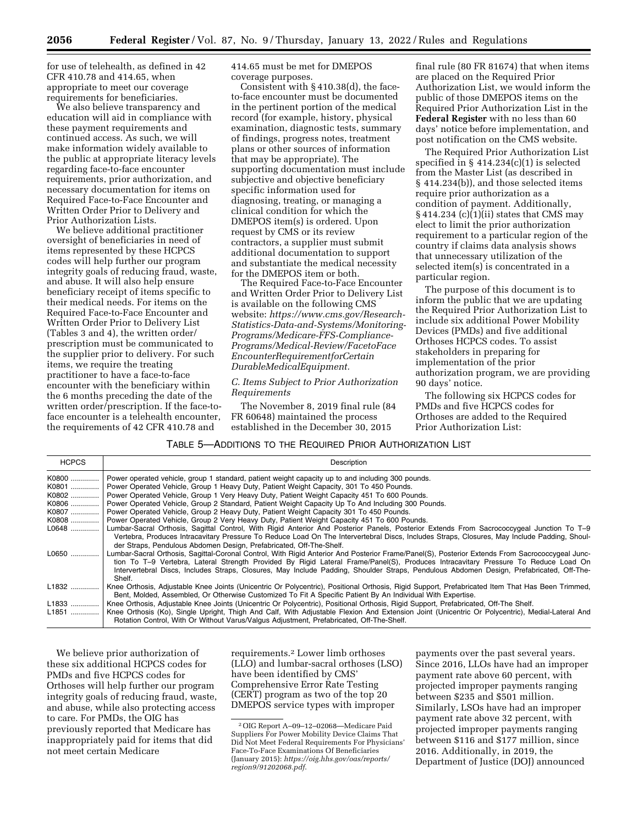for use of telehealth, as defined in 42 CFR 410.78 and 414.65, when appropriate to meet our coverage requirements for beneficiaries.

We also believe transparency and education will aid in compliance with these payment requirements and continued access. As such, we will make information widely available to the public at appropriate literacy levels regarding face-to-face encounter requirements, prior authorization, and necessary documentation for items on Required Face-to-Face Encounter and Written Order Prior to Delivery and Prior Authorization Lists.

We believe additional practitioner oversight of beneficiaries in need of items represented by these HCPCS codes will help further our program integrity goals of reducing fraud, waste, and abuse. It will also help ensure beneficiary receipt of items specific to their medical needs. For items on the Required Face-to-Face Encounter and Written Order Prior to Delivery List (Tables 3 and 4), the written order/ prescription must be communicated to the supplier prior to delivery. For such items, we require the treating practitioner to have a face-to-face encounter with the beneficiary within the 6 months preceding the date of the written order/prescription. If the face-toface encounter is a telehealth encounter, the requirements of 42 CFR 410.78 and

414.65 must be met for DMEPOS coverage purposes.

Consistent with § 410.38(d), the faceto-face encounter must be documented in the pertinent portion of the medical record (for example, history, physical examination, diagnostic tests, summary of findings, progress notes, treatment plans or other sources of information that may be appropriate). The supporting documentation must include subjective and objective beneficiary specific information used for diagnosing, treating, or managing a clinical condition for which the DMEPOS item(s) is ordered. Upon request by CMS or its review contractors, a supplier must submit additional documentation to support and substantiate the medical necessity for the DMEPOS item or both.

The Required Face-to-Face Encounter and Written Order Prior to Delivery List is available on the following CMS website: *[https://www.cms.gov/Research-](https://www.cms.gov/Research-Statistics-Data-and-Systems/Monitoring-Programs/Medicare-FFS-Compliance-Programs/Medical-Review/FacetoFaceEncounterRequirementforCertainDurableMedicalEquipment)[Statistics-Data-and-Systems/Monitoring-](https://www.cms.gov/Research-Statistics-Data-and-Systems/Monitoring-Programs/Medicare-FFS-Compliance-Programs/Medical-Review/FacetoFaceEncounterRequirementforCertainDurableMedicalEquipment)[Programs/Medicare-FFS-Compliance-](https://www.cms.gov/Research-Statistics-Data-and-Systems/Monitoring-Programs/Medicare-FFS-Compliance-Programs/Medical-Review/FacetoFaceEncounterRequirementforCertainDurableMedicalEquipment)[Programs/Medical-Review/FacetoFace](https://www.cms.gov/Research-Statistics-Data-and-Systems/Monitoring-Programs/Medicare-FFS-Compliance-Programs/Medical-Review/FacetoFaceEncounterRequirementforCertainDurableMedicalEquipment) [EncounterRequirementforCertain](https://www.cms.gov/Research-Statistics-Data-and-Systems/Monitoring-Programs/Medicare-FFS-Compliance-Programs/Medical-Review/FacetoFaceEncounterRequirementforCertainDurableMedicalEquipment) [DurableMedicalEquipment.](https://www.cms.gov/Research-Statistics-Data-and-Systems/Monitoring-Programs/Medicare-FFS-Compliance-Programs/Medical-Review/FacetoFaceEncounterRequirementforCertainDurableMedicalEquipment)* 

## *C. Items Subject to Prior Authorization Requirements*

The November 8, 2019 final rule (84 FR 60648) maintained the process established in the December 30, 2015

final rule (80 FR 81674) that when items are placed on the Required Prior Authorization List, we would inform the public of those DMEPOS items on the Required Prior Authorization List in the **Federal Register** with no less than 60 days' notice before implementation, and post notification on the CMS website.

The Required Prior Authorization List specified in § 414.234(c)(1) is selected from the Master List (as described in § 414.234(b)), and those selected items require prior authorization as a condition of payment. Additionally,  $§$  414.234 (c)(1)(ii) states that CMS may elect to limit the prior authorization requirement to a particular region of the country if claims data analysis shows that unnecessary utilization of the selected item(s) is concentrated in a particular region.

The purpose of this document is to inform the public that we are updating the Required Prior Authorization List to include six additional Power Mobility Devices (PMDs) and five additional Orthoses HCPCS codes. To assist stakeholders in preparing for implementation of the prior authorization program, we are providing 90 days' notice.

The following six HCPCS codes for PMDs and five HCPCS codes for Orthoses are added to the Required Prior Authorization List:

| TABLE 5—ADDITIONS TO THE REQUIRED PRIOR AUTHORIZATION LIST |  |
|------------------------------------------------------------|--|
|------------------------------------------------------------|--|

| <b>HCPCS</b> | Description                                                                                                                                                                                                                                                                                                                                                                                                                                 |
|--------------|---------------------------------------------------------------------------------------------------------------------------------------------------------------------------------------------------------------------------------------------------------------------------------------------------------------------------------------------------------------------------------------------------------------------------------------------|
| K0800        | Power operated vehicle, group 1 standard, patient weight capacity up to and including 300 pounds.<br>K0801    Power Operated Vehicle, Group 1 Heavy Duty, Patient Weight Capacity, 301 To 450 Pounds.                                                                                                                                                                                                                                       |
|              | K0802  Power Operated Vehicle, Group 1 Very Heavy Duty, Patient Weight Capacity 451 To 600 Pounds.                                                                                                                                                                                                                                                                                                                                          |
|              | K0806  Power Operated Vehicle, Group 2 Standard, Patient Weight Capacity Up To And Including 300 Pounds.                                                                                                                                                                                                                                                                                                                                    |
|              | K0807  Power Operated Vehicle, Group 2 Heavy Duty, Patient Weight Capacity 301 To 450 Pounds.                                                                                                                                                                                                                                                                                                                                               |
|              | K0808  Power Operated Vehicle, Group 2 Very Heavy Duty, Patient Weight Capacity 451 To 600 Pounds.                                                                                                                                                                                                                                                                                                                                          |
| $L0648$      | Lumbar-Sacral Orthosis, Sagittal Control, With Rigid Anterior And Posterior Panels, Posterior Extends From Sacrococcygeal Junction To T-9<br>Vertebra, Produces Intracavitary Pressure To Reduce Load On The Intervertebral Discs, Includes Straps, Closures, May Include Padding, Shoul-<br>der Straps, Pendulous Abdomen Design, Prefabricated, Off-The-Shelf.                                                                            |
| L0650        | Lumbar-Sacral Orthosis, Sagittal-Coronal Control, With Rigid Anterior And Posterior Frame/Panel(S), Posterior Extends From Sacrococcygeal Junc-<br>tion To T-9 Vertebra, Lateral Strength Provided By Rigid Lateral Frame/Panel(S), Produces Intracavitary Pressure To Reduce Load On<br>Intervertebral Discs, Includes Straps, Closures, May Include Padding, Shoulder Straps, Pendulous Abdomen Design, Prefabricated, Off-The-<br>Shelf. |
| L1832        | Knee Orthosis, Adjustable Knee Joints (Unicentric Or Polycentric), Positional Orthosis, Rigid Support, Prefabricated Item That Has Been Trimmed,<br>Bent, Molded, Assembled, Or Otherwise Customized To Fit A Specific Patient By An Individual With Expertise.                                                                                                                                                                             |
| L1833        | Knee Orthosis, Adjustable Knee Joints (Unicentric Or Polycentric), Positional Orthosis, Rigid Support, Prefabricated, Off-The Shelf.                                                                                                                                                                                                                                                                                                        |
| L1851        | Knee Orthosis (Ko), Single Upright, Thigh And Calf, With Adjustable Flexion And Extension Joint (Unicentric Or Polycentric), Medial-Lateral And<br>Rotation Control, With Or Without Varus/Valgus Adjustment, Prefabricated, Off-The-Shelf.                                                                                                                                                                                                 |

We believe prior authorization of these six additional HCPCS codes for PMDs and five HCPCS codes for Orthoses will help further our program integrity goals of reducing fraud, waste, and abuse, while also protecting access to care. For PMDs, the OIG has previously reported that Medicare has inappropriately paid for items that did not meet certain Medicare

requirements.2 Lower limb orthoses (LLO) and lumbar-sacral orthoses (LSO) have been identified by CMS' Comprehensive Error Rate Testing (CERT) program as two of the top 20 DMEPOS service types with improper

payments over the past several years. Since 2016, LLOs have had an improper payment rate above 60 percent, with projected improper payments ranging between \$235 and \$501 million. Similarly, LSOs have had an improper payment rate above 32 percent, with projected improper payments ranging between \$116 and \$177 million, since 2016. Additionally, in 2019, the Department of Justice (DOJ) announced

<sup>2</sup>OIG Report A–09–12–02068—Medicare Paid Suppliers For Power Mobility Device Claims That Did Not Meet Federal Requirements For Physicians' Face-To-Face Examinations Of Beneficiaries (January 2015): *[https://oig.hhs.gov/oas/reports/](https://oig.hhs.gov/oas/reports/region9/91202068.pdf) [region9/91202068.pdf](https://oig.hhs.gov/oas/reports/region9/91202068.pdf)*.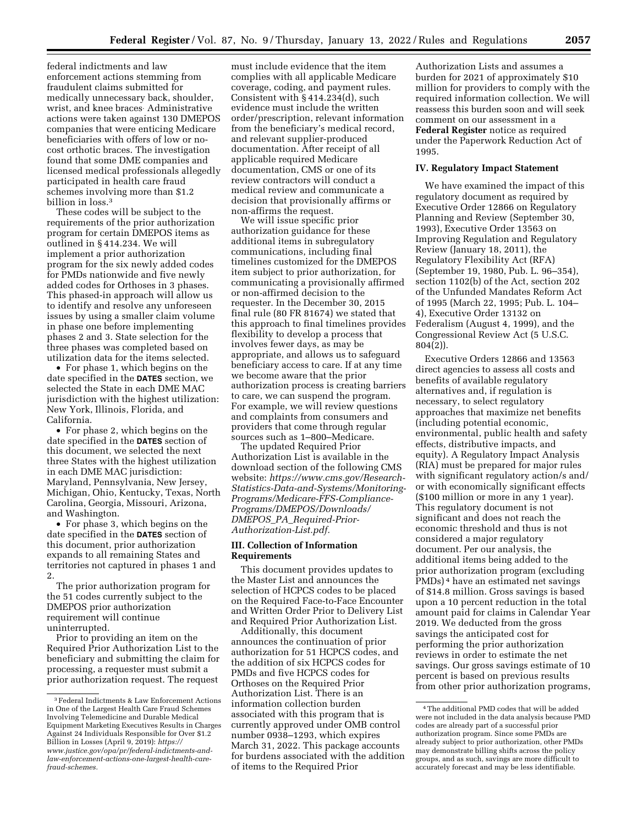federal indictments and law enforcement actions stemming from fraudulent claims submitted for medically unnecessary back, shoulder, wrist, and knee braces. Administrative actions were taken against 130 DMEPOS companies that were enticing Medicare beneficiaries with offers of low or nocost orthotic braces. The investigation found that some DME companies and licensed medical professionals allegedly participated in health care fraud schemes involving more than \$1.2 billion in loss.<sup>3</sup>

These codes will be subject to the requirements of the prior authorization program for certain DMEPOS items as outlined in § 414.234. We will implement a prior authorization program for the six newly added codes for PMDs nationwide and five newly added codes for Orthoses in 3 phases. This phased-in approach will allow us to identify and resolve any unforeseen issues by using a smaller claim volume in phase one before implementing phases 2 and 3. State selection for the three phases was completed based on utilization data for the items selected.

• For phase 1, which begins on the date specified in the **DATES** section, we selected the State in each DME MAC jurisdiction with the highest utilization: New York, Illinois, Florida, and California.

• For phase 2, which begins on the date specified in the **DATES** section of this document, we selected the next three States with the highest utilization in each DME MAC jurisdiction: Maryland, Pennsylvania, New Jersey, Michigan, Ohio, Kentucky, Texas, North Carolina, Georgia, Missouri, Arizona, and Washington.

• For phase 3, which begins on the date specified in the **DATES** section of this document, prior authorization expands to all remaining States and territories not captured in phases 1 and 2.

The prior authorization program for the 51 codes currently subject to the DMEPOS prior authorization requirement will continue uninterrupted.

Prior to providing an item on the Required Prior Authorization List to the beneficiary and submitting the claim for processing, a requester must submit a prior authorization request. The request

must include evidence that the item complies with all applicable Medicare coverage, coding, and payment rules. Consistent with § 414.234(d), such evidence must include the written order/prescription, relevant information from the beneficiary's medical record, and relevant supplier-produced documentation. After receipt of all applicable required Medicare documentation, CMS or one of its review contractors will conduct a medical review and communicate a decision that provisionally affirms or non-affirms the request.

We will issue specific prior authorization guidance for these additional items in subregulatory communications, including final timelines customized for the DMEPOS item subject to prior authorization, for communicating a provisionally affirmed or non-affirmed decision to the requester. In the December 30, 2015 final rule (80 FR 81674) we stated that this approach to final timelines provides flexibility to develop a process that involves fewer days, as may be appropriate, and allows us to safeguard beneficiary access to care. If at any time we become aware that the prior authorization process is creating barriers to care, we can suspend the program. For example, we will review questions and complaints from consumers and providers that come through regular sources such as 1–800–Medicare.

The updated Required Prior Authorization List is available in the download section of the following CMS website: *[https://www.cms.gov/Research-](https://www.cms.gov/Research-Statistics-Data-and-Systems/Monitoring-Programs/Medicare-FFS-Compliance-Programs/DMEPOS/Downloads/DMEPOS_PA_Required-Prior-Authorization-List.pdf)[Statistics-Data-and-Systems/Monitoring-](https://www.cms.gov/Research-Statistics-Data-and-Systems/Monitoring-Programs/Medicare-FFS-Compliance-Programs/DMEPOS/Downloads/DMEPOS_PA_Required-Prior-Authorization-List.pdf)[Programs/Medicare-FFS-Compliance-](https://www.cms.gov/Research-Statistics-Data-and-Systems/Monitoring-Programs/Medicare-FFS-Compliance-Programs/DMEPOS/Downloads/DMEPOS_PA_Required-Prior-Authorization-List.pdf)[Programs/DMEPOS/Downloads/](https://www.cms.gov/Research-Statistics-Data-and-Systems/Monitoring-Programs/Medicare-FFS-Compliance-Programs/DMEPOS/Downloads/DMEPOS_PA_Required-Prior-Authorization-List.pdf)  DMEPOS*\_*PA*\_*[Required-Prior-](https://www.cms.gov/Research-Statistics-Data-and-Systems/Monitoring-Programs/Medicare-FFS-Compliance-Programs/DMEPOS/Downloads/DMEPOS_PA_Required-Prior-Authorization-List.pdf)[Authorization-List.pdf.](https://www.cms.gov/Research-Statistics-Data-and-Systems/Monitoring-Programs/Medicare-FFS-Compliance-Programs/DMEPOS/Downloads/DMEPOS_PA_Required-Prior-Authorization-List.pdf)* 

#### **III. Collection of Information Requirements**

This document provides updates to the Master List and announces the selection of HCPCS codes to be placed on the Required Face-to-Face Encounter and Written Order Prior to Delivery List and Required Prior Authorization List.

Additionally, this document announces the continuation of prior authorization for 51 HCPCS codes, and the addition of six HCPCS codes for PMDs and five HCPCS codes for Orthoses on the Required Prior Authorization List. There is an information collection burden associated with this program that is currently approved under OMB control number 0938–1293, which expires March 31, 2022. This package accounts for burdens associated with the addition of items to the Required Prior

Authorization Lists and assumes a burden for 2021 of approximately \$10 million for providers to comply with the required information collection. We will reassess this burden soon and will seek comment on our assessment in a **Federal Register** notice as required under the Paperwork Reduction Act of 1995.

### **IV. Regulatory Impact Statement**

We have examined the impact of this regulatory document as required by Executive Order 12866 on Regulatory Planning and Review (September 30, 1993), Executive Order 13563 on Improving Regulation and Regulatory Review (January 18, 2011), the Regulatory Flexibility Act (RFA) (September 19, 1980, Pub. L. 96–354), section 1102(b) of the Act, section 202 of the Unfunded Mandates Reform Act of 1995 (March 22, 1995; Pub. L. 104– 4), Executive Order 13132 on Federalism (August 4, 1999), and the Congressional Review Act (5 U.S.C. 804(2)).

Executive Orders 12866 and 13563 direct agencies to assess all costs and benefits of available regulatory alternatives and, if regulation is necessary, to select regulatory approaches that maximize net benefits (including potential economic, environmental, public health and safety effects, distributive impacts, and equity). A Regulatory Impact Analysis (RIA) must be prepared for major rules with significant regulatory action/s and/ or with economically significant effects (\$100 million or more in any 1 year). This regulatory document is not significant and does not reach the economic threshold and thus is not considered a major regulatory document. Per our analysis, the additional items being added to the prior authorization program (excluding PMDs) 4 have an estimated net savings of \$14.8 million. Gross savings is based upon a 10 percent reduction in the total amount paid for claims in Calendar Year 2019. We deducted from the gross savings the anticipated cost for performing the prior authorization reviews in order to estimate the net savings. Our gross savings estimate of 10 percent is based on previous results from other prior authorization programs,

<sup>3</sup>Federal Indictments & Law Enforcement Actions in One of the Largest Health Care Fraud Schemes Involving Telemedicine and Durable Medical Equipment Marketing Executives Results in Charges Against 24 Individuals Responsible for Over \$1.2 Billion in Losses (April 9, 2019): *[https://](https://www.justice.gov/opa/pr/federal-indictments-and-law-enforcement-actions-one-largest-health-care-fraud-schemes) [www.justice.gov/opa/pr/federal-indictments-and](https://www.justice.gov/opa/pr/federal-indictments-and-law-enforcement-actions-one-largest-health-care-fraud-schemes)law-enforcement-actions-one-largest-health-care[fraud-schemes.](https://www.justice.gov/opa/pr/federal-indictments-and-law-enforcement-actions-one-largest-health-care-fraud-schemes)* 

<sup>4</sup>The additional PMD codes that will be added were not included in the data analysis because PMD codes are already part of a successful prior authorization program. Since some PMDs are already subject to prior authorization, other PMDs may demonstrate billing shifts across the policy groups, and as such, savings are more difficult to accurately forecast and may be less identifiable.